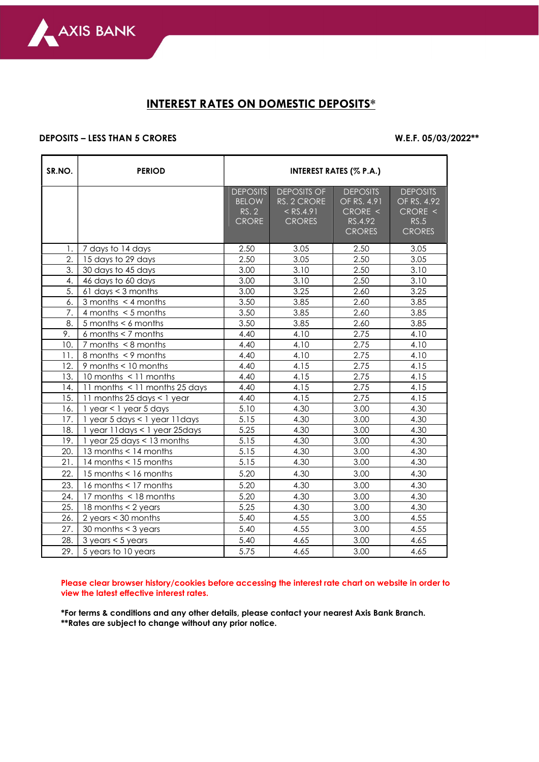

## INTEREST RATES ON DOMESTIC DEPOSITS\*

## DEPOSITS – LESS THAN 5 CRORES W.E.F. 05/03/2022\*\*

| SR.NO.           | <b>PERIOD</b>                       | <b>INTEREST RATES (% P.A.)</b>                           |                                                                   |                                                                       |                                                                    |  |  |
|------------------|-------------------------------------|----------------------------------------------------------|-------------------------------------------------------------------|-----------------------------------------------------------------------|--------------------------------------------------------------------|--|--|
|                  |                                     | <b>DEPOSITS</b><br><b>BELOW</b><br>RS. 2<br><b>CRORE</b> | <b>DEPOSITS OF</b><br>RS. 2 CRORE<br>$<$ RS.4.91<br><b>CRORES</b> | <b>DEPOSITS</b><br>OF RS. 4.91<br>CRORE <<br>RS.4.92<br><b>CRORES</b> | <b>DEPOSITS</b><br>OF RS. 4.92<br>CRORE <<br>RS.5<br><b>CRORES</b> |  |  |
| 1.               | 7 days to 14 days                   | 2.50                                                     | 3.05                                                              | 2.50                                                                  | 3.05                                                               |  |  |
| $\overline{2}$ . | 15 days to 29 days                  | 2.50                                                     | 3.05                                                              | 2.50                                                                  | 3.05                                                               |  |  |
| 3.               | 30 days to 45 days                  | 3.00                                                     | 3.10                                                              | 2.50                                                                  | 3.10                                                               |  |  |
| 4.               | 46 days to 60 days                  | 3.00                                                     | 3.10                                                              | 2.50                                                                  | 3.10                                                               |  |  |
| 5.               | $61$ days $<$ 3 months              | 3.00                                                     | 3.25                                                              | 2.60                                                                  | 3.25                                                               |  |  |
| 6.               | 3 months $\leq$ 4 months            | 3.50                                                     | 3.85                                                              | 2.60                                                                  | 3.85                                                               |  |  |
| 7.               | 4 months $<$ 5 months               | 3.50                                                     | 3.85                                                              | 2.60                                                                  | 3.85                                                               |  |  |
| 8.               | $5$ months $< 6$ months             | 3.50                                                     | 3.85                                                              | 2.60                                                                  | 3.85                                                               |  |  |
| 9.               | 6 months $<$ 7 months               | 4.40                                                     | 4.10                                                              | 2.75                                                                  | 4.10                                                               |  |  |
| 10.              | $7$ months $\leq 8$ months          | 4.40                                                     | 4.10                                                              | 2.75                                                                  | 4.10                                                               |  |  |
| 11.              | 8 months $\leq$ 9 months            | 4.40                                                     | 4.10                                                              | 2.75                                                                  | 4.10                                                               |  |  |
| 12.              | 9 months < 10 months                | 4.40                                                     | 4.15                                                              | 2.75                                                                  | 4.15                                                               |  |  |
| 13.              | 10 months < 11 months               | 4.40                                                     | 4.15                                                              | 2.75                                                                  | 4.15                                                               |  |  |
| 14.              | 11 months < 11 months 25 days       | 4.40                                                     | 4.15                                                              | 2.75                                                                  | 4.15                                                               |  |  |
| 15.              | 11 months 25 days < 1 year          | 4.40                                                     | 4.15                                                              | 2.75                                                                  | 4.15                                                               |  |  |
| 16.              | 1 year < 1 year 5 days              | 5.10                                                     | 4.30                                                              | 3.00                                                                  | 4.30                                                               |  |  |
| 17.              | 1 year 5 days < 1 year 11 days      | 5.15                                                     | 4.30                                                              | 3.00                                                                  | 4.30                                                               |  |  |
| 18.              | 1 year 11 days < 1 year 25 days     | 5.25                                                     | 4.30                                                              | 3.00                                                                  | 4.30                                                               |  |  |
| 19.              | 1 year 25 days < 13 months          | 5.15                                                     | 4.30                                                              | 3.00                                                                  | 4.30                                                               |  |  |
| 20.              | 13 months < 14 months               | 5.15                                                     | 4.30                                                              | 3.00                                                                  | 4.30                                                               |  |  |
| 21.              | 14 months < 15 months               | 5.15                                                     | 4.30                                                              | 3.00                                                                  | 4.30                                                               |  |  |
| 22.              | 15 months < 16 months               | 5.20                                                     | 4.30                                                              | 3.00                                                                  | 4.30                                                               |  |  |
| 23.              | 16 months $<$ 17 months             | 5.20                                                     | 4.30                                                              | 3.00                                                                  | 4.30                                                               |  |  |
| 24.              | 17 months < 18 months               | 5.20                                                     | 4.30                                                              | 3.00                                                                  | 4.30                                                               |  |  |
| 25.              | 18 months < 2 years                 | 5.25                                                     | 4.30                                                              | 3.00                                                                  | 4.30                                                               |  |  |
| 26.              | 2 years $<$ 30 months               | 5.40                                                     | 4.55                                                              | 3.00                                                                  | 4.55                                                               |  |  |
| 27.              | 30 months $<$ 3 years               | 5.40                                                     | 4.55                                                              | 3.00                                                                  | 4.55                                                               |  |  |
| 28.              | $3 \text{ years} < 5 \text{ years}$ | 5.40                                                     | 4.65                                                              | 3.00                                                                  | 4.65                                                               |  |  |
| 29.              | 5 years to 10 years                 | 5.75                                                     | 4.65                                                              | 3.00                                                                  | 4.65                                                               |  |  |

Please clear browser history/cookies before accessing the interest rate chart on website in order to view the latest effective interest rates.

\*For terms & conditions and any other details, please contact your nearest Axis Bank Branch. \*\*Rates are subject to change without any prior notice.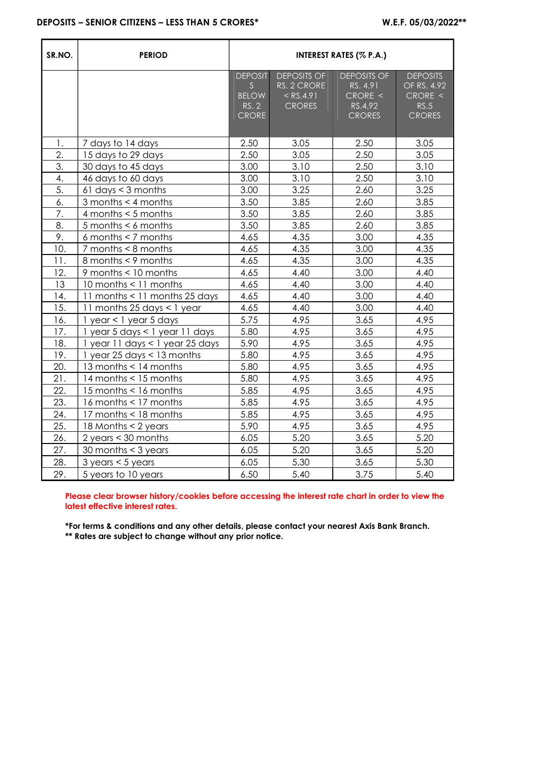| SR.NO. | <b>PERIOD</b>                       | <b>INTEREST RATES (% P.A.)</b>                               |                                                                   |                                                                       |                                                                    |  |  |
|--------|-------------------------------------|--------------------------------------------------------------|-------------------------------------------------------------------|-----------------------------------------------------------------------|--------------------------------------------------------------------|--|--|
|        |                                     | <b>DEPOSIT</b><br>S<br><b>BELOW</b><br>RS. 2<br><b>CRORE</b> | <b>DEPOSITS OF</b><br>RS. 2 CRORE<br>$<$ RS.4.91<br><b>CRORES</b> | <b>DEPOSITS OF</b><br>RS. 4.91<br>CRORE <<br>RS.4.92<br><b>CRORES</b> | <b>DEPOSITS</b><br>OF RS. 4.92<br>CRORE <<br>RS.5<br><b>CRORES</b> |  |  |
| 1.     | 7 days to 14 days                   | 2.50                                                         | 3.05                                                              | 2.50                                                                  | 3.05                                                               |  |  |
| 2.     | 15 days to 29 days                  | 2.50                                                         | 3.05                                                              | 2.50                                                                  | 3.05                                                               |  |  |
| 3.     | 30 days to 45 days                  | 3.00                                                         | 3.10                                                              | 2.50                                                                  | 3.10                                                               |  |  |
| 4.     | 46 days to 60 days                  | 3.00                                                         | 3.10                                                              | 2.50                                                                  | 3.10                                                               |  |  |
| 5.     | $61$ days $<$ 3 months              | 3.00                                                         | 3.25                                                              | 2.60                                                                  | 3.25                                                               |  |  |
| 6.     | 3 months $<$ 4 months               | 3.50                                                         | 3.85                                                              | 2.60                                                                  | 3.85                                                               |  |  |
| 7.     | 4 months $<$ 5 months               | 3.50                                                         | 3.85                                                              | 2.60                                                                  | 3.85                                                               |  |  |
| 8.     | $5$ months $< 6$ months             | 3.50                                                         | 3.85                                                              | 2.60                                                                  | 3.85                                                               |  |  |
| 9.     | $6$ months $<$ 7 months             | 4.65                                                         | 4.35                                                              | 3.00                                                                  | 4.35                                                               |  |  |
| 10.    | $7$ months $< 8$ months             | 4.65                                                         | 4.35                                                              | 3.00                                                                  | 4.35                                                               |  |  |
| 11.    | 8 months < 9 months                 | 4.65                                                         | 4.35                                                              | 3.00                                                                  | 4.35                                                               |  |  |
| 12.    | 9 months < 10 months                | 4.65                                                         | 4.40                                                              | 3.00                                                                  | 4.40                                                               |  |  |
| 13     | 10 months < 11 months               | 4.65                                                         | 4.40                                                              | 3.00                                                                  | 4.40                                                               |  |  |
| 14.    | 11 months < 11 months 25 days       | 4.65                                                         | 4.40                                                              | 3.00                                                                  | 4.40                                                               |  |  |
| 15.    | 11 months 25 days < 1 year          | 4.65                                                         | 4.40                                                              | 3.00                                                                  | 4.40                                                               |  |  |
| 16.    | $1$ year < $1$ year 5 days          | 5.75                                                         | 4.95                                                              | 3.65                                                                  | 4.95                                                               |  |  |
| 17.    | 1 year 5 days < 1 year 11 days      | 5.80                                                         | 4.95                                                              | 3.65                                                                  | 4.95                                                               |  |  |
| 18.    | 1 year 11 days < 1 year 25 days     | 5.90                                                         | 4.95                                                              | 3.65                                                                  | 4.95                                                               |  |  |
| 19.    | 1 year 25 days < 13 months          | 5.80                                                         | 4.95                                                              | 3.65                                                                  | 4.95                                                               |  |  |
| 20.    | 13 months < 14 months               | 5.80                                                         | 4.95                                                              | 3.65                                                                  | 4.95                                                               |  |  |
| 21.    | 14 months < 15 months               | 5.80                                                         | 4.95                                                              | 3.65                                                                  | 4.95                                                               |  |  |
| 22.    | 15 months < 16 months               | 5.85                                                         | 4.95                                                              | 3.65                                                                  | 4.95                                                               |  |  |
| 23.    | 16 months < 17 months               | 5.85                                                         | 4.95                                                              | 3.65                                                                  | 4.95                                                               |  |  |
| 24.    | 17 months < 18 months               | 5.85                                                         | 4.95                                                              | 3.65                                                                  | 4.95                                                               |  |  |
| 25.    | 18 Months $<$ 2 years               | 5.90                                                         | 4.95                                                              | 3.65                                                                  | 4.95                                                               |  |  |
| 26.    | $2$ years $<$ 30 months             | 6.05                                                         | 5.20                                                              | 3.65                                                                  | 5.20                                                               |  |  |
| 27.    | 30 months $<$ 3 years               | 6.05                                                         | 5.20                                                              | 3.65                                                                  | 5.20                                                               |  |  |
| 28.    | $3 \text{ years} < 5 \text{ years}$ | 6.05                                                         | 5.30                                                              | 3.65                                                                  | 5.30                                                               |  |  |
| 29.    | 5 years to 10 years                 | 6.50                                                         | 5.40                                                              | 3.75                                                                  | 5.40                                                               |  |  |

Please clear browser history/cookies before accessing the interest rate chart in order to view the latest effective interest rates.

\*For terms & conditions and any other details, please contact your nearest Axis Bank Branch. \*\* Rates are subject to change without any prior notice.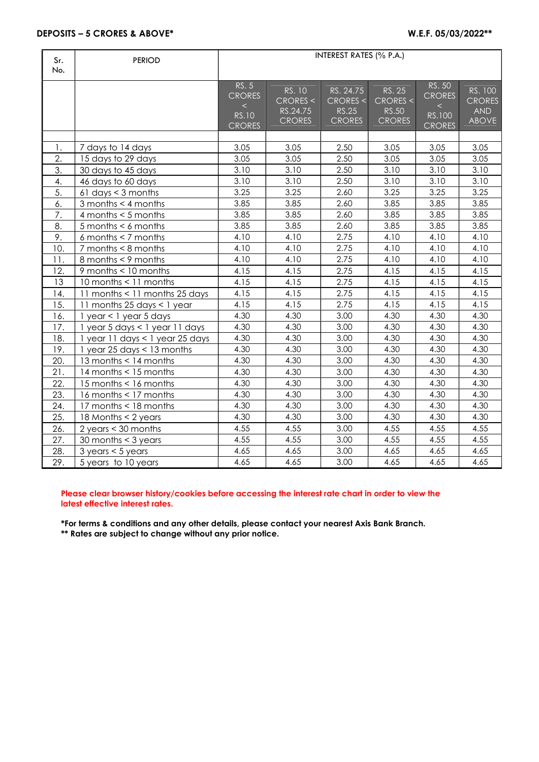| Sr.<br>No. | <b>PERIOD</b>                       | <b>INTEREST RATES (% P.A.)</b>                                   |                                                 |                                                        |                                                     |                                                             |                                                        |  |
|------------|-------------------------------------|------------------------------------------------------------------|-------------------------------------------------|--------------------------------------------------------|-----------------------------------------------------|-------------------------------------------------------------|--------------------------------------------------------|--|
|            |                                     | RS. 5<br><b>CRORES</b><br>$\lt$<br><b>RS.10</b><br><b>CRORES</b> | RS. 10<br>CRORES <<br>RS.24.75<br><b>CRORES</b> | RS. 24.75<br>CRORES <<br><b>RS.25</b><br><b>CRORES</b> | RS. 25<br>CRORES <<br><b>RS.50</b><br><b>CRORES</b> | RS. 50<br><b>CRORES</b><br>$\lt$<br>RS.100<br><b>CRORES</b> | RS. 100<br><b>CRORES</b><br><b>AND</b><br><b>ABOVE</b> |  |
|            |                                     |                                                                  |                                                 |                                                        |                                                     |                                                             |                                                        |  |
| 1.         | 7 days to 14 days                   | 3.05                                                             | 3.05                                            | 2.50                                                   | 3.05                                                | 3.05                                                        | 3.05                                                   |  |
| 2.         | 15 days to 29 days                  | 3.05                                                             | 3.05                                            | 2.50                                                   | 3.05                                                | 3.05                                                        | 3.05                                                   |  |
| 3.         | 30 days to 45 days                  | 3.10                                                             | 3.10                                            | 2.50                                                   | 3.10                                                | 3.10                                                        | 3.10                                                   |  |
| 4.         | 46 days to 60 days                  | 3.10                                                             | 3.10                                            | 2.50                                                   | 3.10                                                | 3.10                                                        | 3.10                                                   |  |
| 5.         | 61 days $<$ 3 months                | 3.25                                                             | 3.25                                            | 2.60                                                   | 3.25                                                | 3.25                                                        | 3.25                                                   |  |
| 6.         | 3 months $<$ 4 months               | 3.85                                                             | 3.85                                            | 2.60                                                   | 3.85                                                | 3.85                                                        | 3.85                                                   |  |
| 7.         | 4 months $<$ 5 months               | 3.85                                                             | 3.85                                            | 2.60                                                   | 3.85                                                | 3.85                                                        | 3.85                                                   |  |
| 8.         | 5 months $< 6$ months               | 3.85                                                             | 3.85                                            | 2.60                                                   | 3.85                                                | 3.85                                                        | 3.85                                                   |  |
| 9.         | 6 months $<$ 7 months               | 4.10                                                             | 4.10                                            | 2.75                                                   | 4.10                                                | 4.10                                                        | 4.10                                                   |  |
| 10.        | $7$ months $< 8$ months             | 4.10                                                             | 4.10                                            | 2.75                                                   | 4.10                                                | 4.10                                                        | 4.10                                                   |  |
| 11.        | 8 months < 9 months                 | 4.10                                                             | 4.10                                            | 2.75                                                   | 4.10                                                | 4.10                                                        | 4.10                                                   |  |
| 12.        | 9 months < 10 months                | 4.15                                                             | 4.15                                            | 2.75                                                   | 4.15                                                | 4.15                                                        | 4.15                                                   |  |
| 13         | 10 months < 11 months               | 4.15                                                             | 4.15                                            | 2.75                                                   | 4.15                                                | 4.15                                                        | 4.15                                                   |  |
| 14.        | 11 months < 11 months 25 days       | 4.15                                                             | 4.15                                            | 2.75                                                   | 4.15                                                | 4.15                                                        | 4.15                                                   |  |
| 15.        | 11 months 25 days < 1 year          | 4.15                                                             | 4.15                                            | 2.75                                                   | 4.15                                                | 4.15                                                        | 4.15                                                   |  |
| 16.        | $1$ year < $1$ year 5 days          | 4.30                                                             | 4.30                                            | 3.00                                                   | 4.30                                                | 4.30                                                        | 4.30                                                   |  |
| 17.        | 1 year 5 days < 1 year 11 days      | 4.30                                                             | 4.30                                            | 3.00                                                   | 4.30                                                | 4.30                                                        | 4.30                                                   |  |
| 18.        | 1 year 11 days < 1 year 25 days     | 4.30                                                             | 4.30                                            | 3.00                                                   | 4.30                                                | 4.30                                                        | 4.30                                                   |  |
| 19.        | 1 year 25 days $<$ 13 months        | 4.30                                                             | 4.30                                            | 3.00                                                   | 4.30                                                | 4.30                                                        | 4.30                                                   |  |
| 20.        | 13 months < 14 months               | 4.30                                                             | 4.30                                            | 3.00                                                   | 4.30                                                | 4.30                                                        | 4.30                                                   |  |
| 21.        | 14 months < 15 months               | 4.30                                                             | 4.30                                            | 3.00                                                   | 4.30                                                | 4.30                                                        | 4.30                                                   |  |
| 22.        | 15 months < 16 months               | 4.30                                                             | 4.30                                            | 3.00                                                   | 4.30                                                | 4.30                                                        | 4.30                                                   |  |
| 23.        | 16 months < 17 months               | 4.30                                                             | 4.30                                            | 3.00                                                   | 4.30                                                | 4.30                                                        | 4.30                                                   |  |
| 24.        | 17 months < 18 months               | 4.30                                                             | 4.30                                            | 3.00                                                   | 4.30                                                | 4.30                                                        | 4.30                                                   |  |
| 25.        | 18 Months < 2 years                 | 4.30                                                             | 4.30                                            | 3.00                                                   | 4.30                                                | 4.30                                                        | 4.30                                                   |  |
| 26.        | 2 years $<$ 30 months               | 4.55                                                             | 4.55                                            | 3.00                                                   | 4.55                                                | 4.55                                                        | 4.55                                                   |  |
| 27.        | 30 months $<$ 3 years               | 4.55                                                             | 4.55                                            | 3.00                                                   | 4.55                                                | 4.55                                                        | 4.55                                                   |  |
| 28.        | $3 \text{ years} < 5 \text{ years}$ | 4.65                                                             | 4.65                                            | 3.00                                                   | 4.65                                                | 4.65                                                        | 4.65                                                   |  |
| 29.        | 5 years to 10 years                 | 4.65                                                             | 4.65                                            | 3.00                                                   | 4.65                                                | 4.65                                                        | 4.65                                                   |  |

## Please clear browser history/cookies before accessing the interest rate chart in order to view the latest effective interest rates.

\*For terms & conditions and any other details, please contact your nearest Axis Bank Branch. \*\* Rates are subject to change without any prior notice.